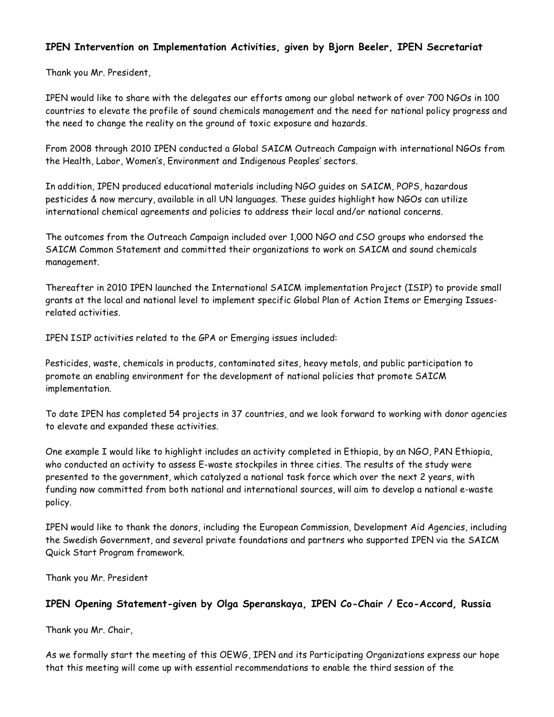#### **IPEN Intervention on Implementation Activities, given by Bjorn Beeler, IPEN Secretariat**

Thank you Mr. President,

IPEN would like to share with the delegates our efforts among our global network of over 700 NGOs in 100 countries to elevate the profile of sound chemicals management and the need for national policy progress and the need to change the reality on the ground of toxic exposure and hazards.

From 2008 through 2010 IPEN conducted a Global SAICM Outreach Campaign with international NGOs from the Health, Labor, Women's, Environment and Indigenous Peoples' sectors.

In addition, IPEN produced educational materials including NGO guides on SAICM, POPS, hazardous pesticides & now mercury, available in all UN languages. These guides highlight how NGOs can utilize international chemical agreements and policies to address their local and/or national concerns.

The outcomes from the Outreach Campaign included over 1,000 NGO and CSO groups who endorsed the SAICM Common Statement and committed their organizations to work on SAICM and sound chemicals management.

Thereafter in 2010 IPEN launched the International SAICM implementation Project (ISIP) to provide small grants at the local and national level to implement specific Global Plan of Action Items or Emerging Issuesrelated activities.

IPEN ISIP activities related to the GPA or Emerging issues included:

Pesticides, waste, chemicals in products, contaminated sites, heavy metals, and public participation to promote an enabling environment for the development of national policies that promote SAICM implementation.

To date IPEN has completed 54 projects in 37 countries, and we look forward to working with donor agencies to elevate and expanded these activities.

One example I would like to highlight includes an activity completed in Ethiopia, by an NGO, PAN Ethiopia, who conducted an activity to assess E-waste stockpiles in three cities. The results of the study were presented to the government, which catalyzed a national task force which over the next 2 years, with funding now committed from both national and international sources, will aim to develop a national e-waste policy.

IPEN would like to thank the donors, including the European Commission, Development Aid Agencies, including the Swedish Government, and several private foundations and partners who supported IPEN via the SAICM Quick Start Program framework.

Thank you Mr. President

#### **IPEN Opening Statement-given by Olga Speranskaya, IPEN Co-Chair / Eco-Accord, Russia**

Thank you Mr. Chair,

As we formally start the meeting of this OEWG, IPEN and its Participating Organizations express our hope that this meeting will come up with essential recommendations to enable the third session of the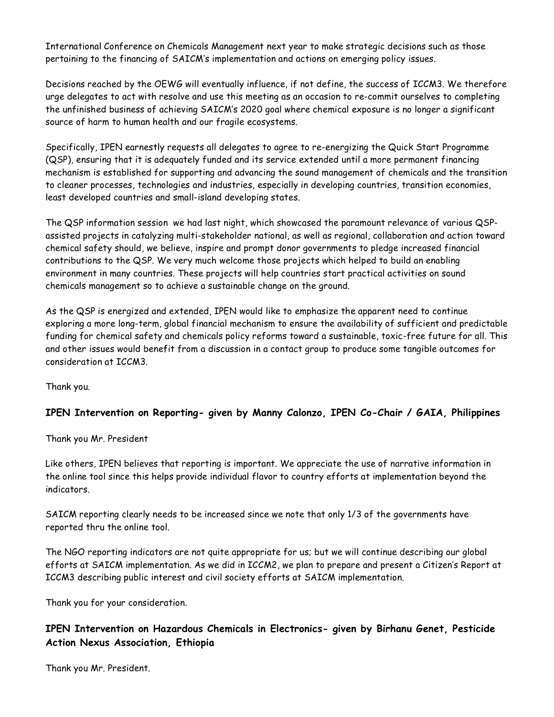International Conference on Chemicals Management next year to make strategic decisions such as those pertaining to the financing of SAICM's implementation and actions on emerging policy issues.

Decisions reached by the OEWG will eventually influence, if not define, the success of ICCM3. We therefore urge delegates to act with resolve and use this meeting as an occasion to re-commit ourselves to completing the unfinished business of achieving SAICM's 2020 goal where chemical exposure is no longer a significant source of harm to human health and our fragile ecosystems.

Specifically, IPEN earnestly requests all delegates to agree to re-energizing the Quick Start Programme (QSP), ensuring that it is adequately funded and its service extended until a more permanent financing mechanism is established for supporting and advancing the sound management of chemicals and the transition to cleaner processes, technologies and industries, especially in developing countries, transition economies, least developed countries and small-island developing states.

The QSP information session we had last night, which showcased the paramount relevance of various QSPassisted projects in catalyzing multi-stakeholder national, as well as regional, collaboration and action toward chemical safety should, we believe, inspire and prompt donor governments to pledge increased financial contributions to the QSP. We very much welcome those projects which helped to build an enabling environment in many countries. These projects will help countries start practical activities on sound chemicals management so to achieve a sustainable change on the ground.

As the QSP is energized and extended, IPEN would like to emphasize the apparent need to continue exploring a more long-term, global financial mechanism to ensure the availability of sufficient and predictable funding for chemical safety and chemicals policy reforms toward a sustainable, toxic-free future for all. This and other issues would benefit from a discussion in a contact group to produce some tangible outcomes for consideration at ICCM3.

Thank you.

#### **IPEN Intervention on Reporting- given by Manny Calonzo, IPEN Co-Chair / GAIA, Philippines**

Thank you Mr. President

Like others, IPEN believes that reporting is important. We appreciate the use of narrative information in the online tool since this helps provide individual flavor to country efforts at implementation beyond the indicators.

SAICM reporting clearly needs to be increased since we note that only 1/3 of the governments have reported thru the online tool.

The NGO reporting indicators are not quite appropriate for us; but we will continue describing our global efforts at SAICM implementation. As we did in ICCM2, we plan to prepare and present a Citizen's Report at ICCM3 describing public interest and civil society efforts at SAICM implementation.

Thank you for your consideration.

## **IPEN Intervention on Hazardous Chemicals in Electronics- given by Birhanu Genet, Pesticide Action Nexus Association, Ethiopia**

Thank you Mr. President.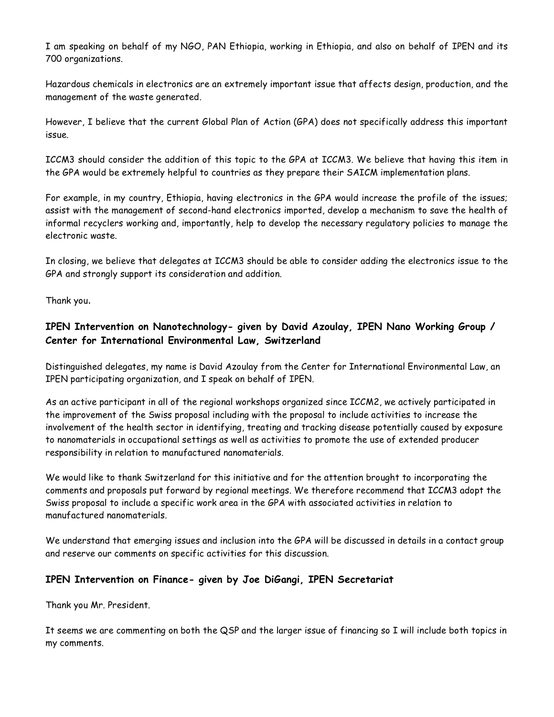I am speaking on behalf of my NGO, PAN Ethiopia, working in Ethiopia, and also on behalf of IPEN and its 700 organizations.

Hazardous chemicals in electronics are an extremely important issue that affects design, production, and the management of the waste generated.

However, I believe that the current Global Plan of Action (GPA) does not specifically address this important issue.

ICCM3 should consider the addition of this topic to the GPA at ICCM3. We believe that having this item in the GPA would be extremely helpful to countries as they prepare their SAICM implementation plans.

For example, in my country, Ethiopia, having electronics in the GPA would increase the profile of the issues; assist with the management of second-hand electronics imported, develop a mechanism to save the health of informal recyclers working and, importantly, help to develop the necessary regulatory policies to manage the electronic waste.

In closing, we believe that delegates at ICCM3 should be able to consider adding the electronics issue to the GPA and strongly support its consideration and addition.

Thank you.

## **IPEN Intervention on Nanotechnology- given by David Azoulay, IPEN Nano Working Group / Center for International Environmental Law, Switzerland**

Distinguished delegates, my name is David Azoulay from the Center for International Environmental Law, an IPEN participating organization, and I speak on behalf of IPEN.

As an active participant in all of the regional workshops organized since ICCM2, we actively participated in the improvement of the Swiss proposal including with the proposal to include activities to increase the involvement of the health sector in identifying, treating and tracking disease potentially caused by exposure to nanomaterials in occupational settings as well as activities to promote the use of extended producer responsibility in relation to manufactured nanomaterials.

We would like to thank Switzerland for this initiative and for the attention brought to incorporating the comments and proposals put forward by regional meetings. We therefore recommend that ICCM3 adopt the Swiss proposal to include a specific work area in the GPA with associated activities in relation to manufactured nanomaterials.

We understand that emerging issues and inclusion into the GPA will be discussed in details in a contact group and reserve our comments on specific activities for this discussion.

#### **IPEN Intervention on Finance- given by Joe DiGangi, IPEN Secretariat**

Thank you Mr. President.

It seems we are commenting on both the QSP and the larger issue of financing so I will include both topics in my comments.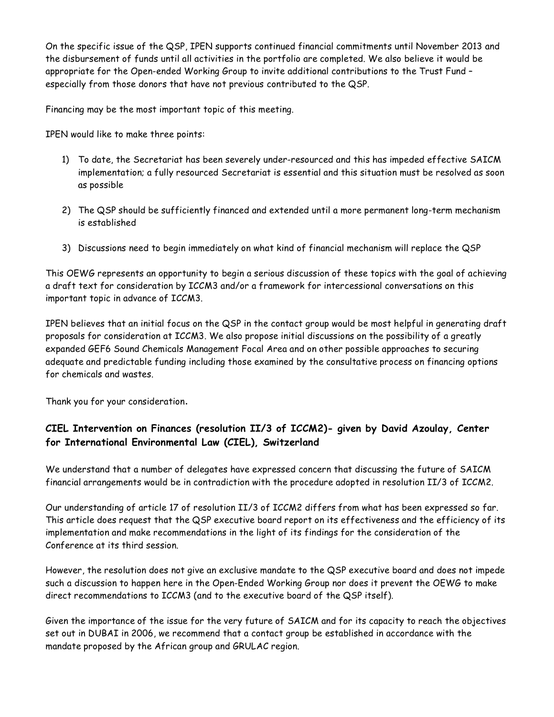On the specific issue of the QSP, IPEN supports continued financial commitments until November 2013 and the disbursement of funds until all activities in the portfolio are completed. We also believe it would be appropriate for the Open-ended Working Group to invite additional contributions to the Trust Fund – especially from those donors that have not previous contributed to the QSP.

Financing may be the most important topic of this meeting.

IPEN would like to make three points:

- 1) To date, the Secretariat has been severely under-resourced and this has impeded effective SAICM implementation; a fully resourced Secretariat is essential and this situation must be resolved as soon as possible
- 2) The QSP should be sufficiently financed and extended until a more permanent long-term mechanism is established
- 3) Discussions need to begin immediately on what kind of financial mechanism will replace the QSP

This OEWG represents an opportunity to begin a serious discussion of these topics with the goal of achieving a draft text for consideration by ICCM3 and/or a framework for intercessional conversations on this important topic in advance of ICCM3.

IPEN believes that an initial focus on the QSP in the contact group would be most helpful in generating draft proposals for consideration at ICCM3. We also propose initial discussions on the possibility of a greatly expanded GEF6 Sound Chemicals Management Focal Area and on other possible approaches to securing adequate and predictable funding including those examined by the consultative process on financing options for chemicals and wastes.

Thank you for your consideration.

# **CIEL Intervention on Finances (resolution II/3 of ICCM2)- given by David Azoulay, Center for International Environmental Law (CIEL), Switzerland**

We understand that a number of delegates have expressed concern that discussing the future of SAICM financial arrangements would be in contradiction with the procedure adopted in resolution II/3 of ICCM2.

Our understanding of article 17 of resolution II/3 of ICCM2 differs from what has been expressed so far. This article does request that the QSP executive board report on its effectiveness and the efficiency of its implementation and make recommendations in the light of its findings for the consideration of the Conference at its third session.

However, the resolution does not give an exclusive mandate to the QSP executive board and does not impede such a discussion to happen here in the Open-Ended Working Group nor does it prevent the OEWG to make direct recommendations to ICCM3 (and to the executive board of the QSP itself).

Given the importance of the issue for the very future of SAICM and for its capacity to reach the objectives set out in DUBAI in 2006, we recommend that a contact group be established in accordance with the mandate proposed by the African group and GRULAC region.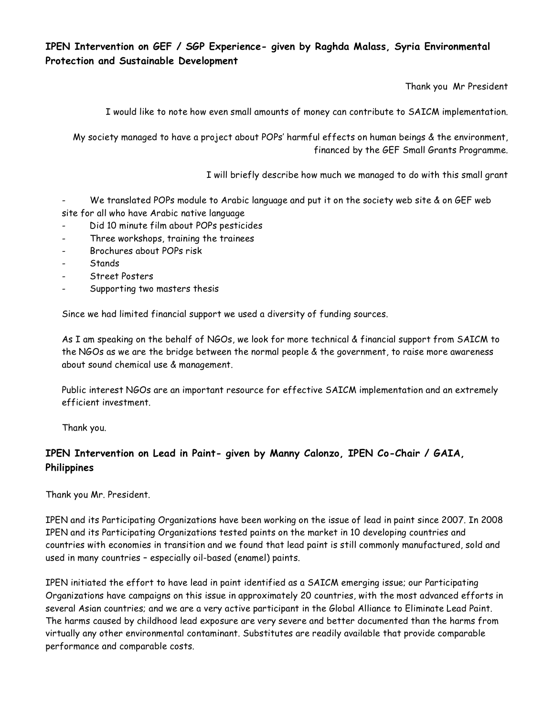#### **IPEN Intervention on GEF / SGP Experience- given by Raghda Malass, Syria Environmental Protection and Sustainable Development**

Thank you Mr President

I would like to note how even small amounts of money can contribute to SAICM implementation.

My society managed to have a project about POPs' harmful effects on human beings & the environment, financed by the GEF Small Grants Programme.

I will briefly describe how much we managed to do with this small grant

We translated POPs module to Arabic language and put it on the society web site & on GEF web site for all who have Arabic native language

- Did 10 minute film about POPs pesticides
- Three workshops, training the trainees
- Brochures about POPs risk
- **Stands**
- Street Posters
- Supporting two masters thesis

Since we had limited financial support we used a diversity of funding sources.

As I am speaking on the behalf of NGOs, we look for more technical & financial support from SAICM to the NGOs as we are the bridge between the normal people & the government, to raise more awareness about sound chemical use & management.

Public interest NGOs are an important resource for effective SAICM implementation and an extremely efficient investment.

Thank you.

## **IPEN Intervention on Lead in Paint- given by Manny Calonzo, IPEN Co-Chair / GAIA, Philippines**

Thank you Mr. President.

IPEN and its Participating Organizations have been working on the issue of lead in paint since 2007. In 2008 IPEN and its Participating Organizations tested paints on the market in 10 developing countries and countries with economies in transition and we found that lead paint is still commonly manufactured, sold and used in many countries – especially oil-based (enamel) paints.

IPEN initiated the effort to have lead in paint identified as a SAICM emerging issue; our Participating Organizations have campaigns on this issue in approximately 20 countries, with the most advanced efforts in several Asian countries; and we are a very active participant in the Global Alliance to Eliminate Lead Paint. The harms caused by childhood lead exposure are very severe and better documented than the harms from virtually any other environmental contaminant. Substitutes are readily available that provide comparable performance and comparable costs.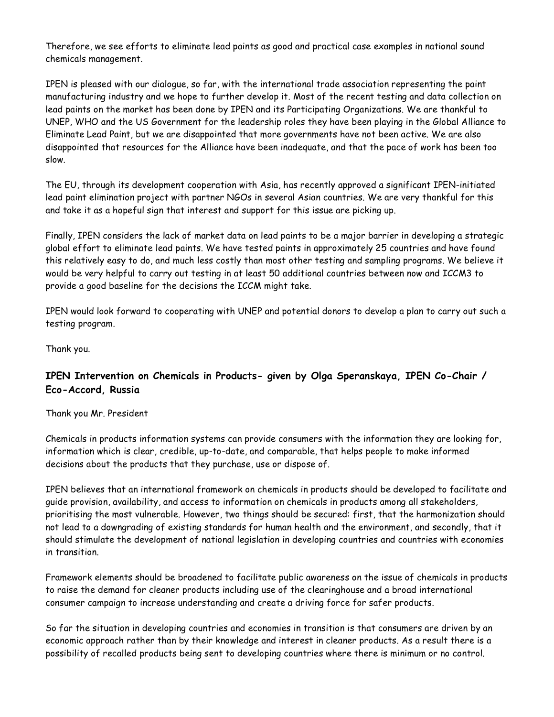Therefore, we see efforts to eliminate lead paints as good and practical case examples in national sound chemicals management.

IPEN is pleased with our dialogue, so far, with the international trade association representing the paint manufacturing industry and we hope to further develop it. Most of the recent testing and data collection on lead paints on the market has been done by IPEN and its Participating Organizations. We are thankful to UNEP, WHO and the US Government for the leadership roles they have been playing in the Global Alliance to Eliminate Lead Paint, but we are disappointed that more governments have not been active. We are also disappointed that resources for the Alliance have been inadequate, and that the pace of work has been too slow.

The EU, through its development cooperation with Asia, has recently approved a significant IPEN-initiated lead paint elimination project with partner NGOs in several Asian countries. We are very thankful for this and take it as a hopeful sign that interest and support for this issue are picking up.

Finally, IPEN considers the lack of market data on lead paints to be a major barrier in developing a strategic global effort to eliminate lead paints. We have tested paints in approximately 25 countries and have found this relatively easy to do, and much less costly than most other testing and sampling programs. We believe it would be very helpful to carry out testing in at least 50 additional countries between now and ICCM3 to provide a good baseline for the decisions the ICCM might take.

IPEN would look forward to cooperating with UNEP and potential donors to develop a plan to carry out such a testing program.

Thank you.

## **IPEN Intervention on Chemicals in Products- given by Olga Speranskaya, IPEN Co-Chair / Eco-Accord, Russia**

Thank you Mr. President

Chemicals in products information systems can provide consumers with the information they are looking for, information which is clear, credible, up-to-date, and comparable, that helps people to make informed decisions about the products that they purchase, use or dispose of.

IPEN believes that an international framework on chemicals in products should be developed to facilitate and guide provision, availability, and access to information on chemicals in products among all stakeholders, prioritising the most vulnerable. However, two things should be secured: first, that the harmonization should not lead to a downgrading of existing standards for human health and the environment, and secondly, that it should stimulate the development of national legislation in developing countries and countries with economies in transition.

Framework elements should be broadened to facilitate public awareness on the issue of chemicals in products to raise the demand for cleaner products including use of the clearinghouse and a broad international consumer campaign to increase understanding and create a driving force for safer products.

So far the situation in developing countries and economies in transition is that consumers are driven by an economic approach rather than by their knowledge and interest in cleaner products. As a result there is a possibility of recalled products being sent to developing countries where there is minimum or no control.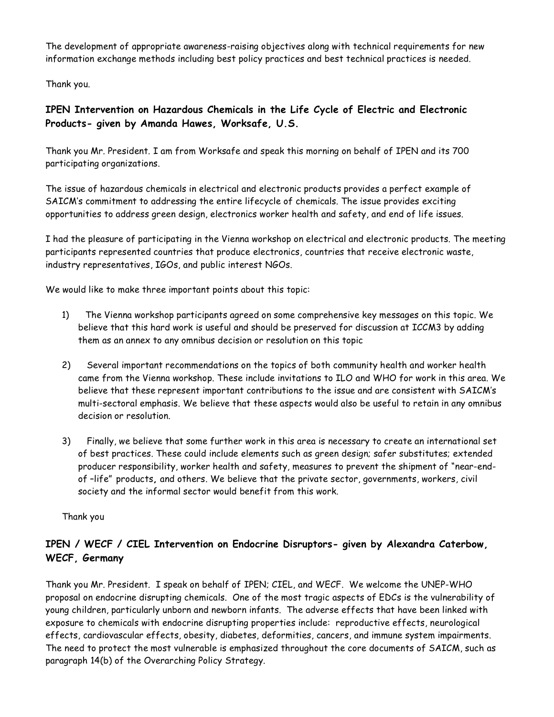The development of appropriate awareness-raising objectives along with technical requirements for new information exchange methods including best policy practices and best technical practices is needed.

Thank you.

## **IPEN Intervention on Hazardous Chemicals in the Life Cycle of Electric and Electronic Products- given by Amanda Hawes, Worksafe, U.S.**

Thank you Mr. President. I am from Worksafe and speak this morning on behalf of IPEN and its 700 participating organizations.

The issue of hazardous chemicals in electrical and electronic products provides a perfect example of SAICM's commitment to addressing the entire lifecycle of chemicals. The issue provides exciting opportunities to address green design, electronics worker health and safety, and end of life issues.

I had the pleasure of participating in the Vienna workshop on electrical and electronic products. The meeting participants represented countries that produce electronics, countries that receive electronic waste, industry representatives, IGOs, and public interest NGOs.

We would like to make three important points about this topic:

- 1) The Vienna workshop participants agreed on some comprehensive key messages on this topic. We believe that this hard work is useful and should be preserved for discussion at ICCM3 by adding them as an annex to any omnibus decision or resolution on this topic
- 2) Several important recommendations on the topics of both community health and worker health came from the Vienna workshop. These include invitations to ILO and WHO for work in this area. We believe that these represent important contributions to the issue and are consistent with SAICM's multi-sectoral emphasis. We believe that these aspects would also be useful to retain in any omnibus decision or resolution.
- 3) Finally, we believe that some further work in this area is necessary to create an international set of best practices. These could include elements such as green design; safer substitutes; extended producer responsibility, worker health and safety, measures to prevent the shipment of "near-endof –life" products**,** and others. We believe that the private sector, governments, workers, civil society and the informal sector would benefit from this work.

Thank you

# **IPEN / WECF / CIEL Intervention on Endocrine Disruptors- given by Alexandra Caterbow, WECF, Germany**

Thank you Mr. President. I speak on behalf of IPEN; CIEL, and WECF. We welcome the UNEP-WHO proposal on endocrine disrupting chemicals. One of the most tragic aspects of EDCs is the vulnerability of young children, particularly unborn and newborn infants. The adverse effects that have been linked with exposure to chemicals with endocrine disrupting properties include: reproductive effects, neurological effects, cardiovascular effects, obesity, diabetes, deformities, cancers, and immune system impairments. The need to protect the most vulnerable is emphasized throughout the core documents of SAICM, such as paragraph 14(b) of the Overarching Policy Strategy.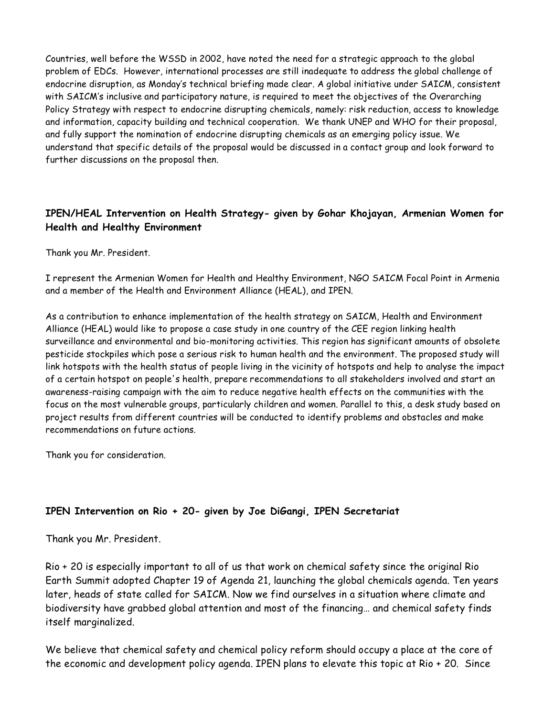Countries, well before the WSSD in 2002, have noted the need for a strategic approach to the global problem of EDCs. However, international processes are still inadequate to address the global challenge of endocrine disruption, as Monday's technical briefing made clear. A global initiative under SAICM, consistent with SAICM's inclusive and participatory nature, is required to meet the objectives of the Overarching Policy Strategy with respect to endocrine disrupting chemicals, namely: risk reduction, access to knowledge and information, capacity building and technical cooperation. We thank UNEP and WHO for their proposal, and fully support the nomination of endocrine disrupting chemicals as an emerging policy issue. We understand that specific details of the proposal would be discussed in a contact group and look forward to further discussions on the proposal then.

## **IPEN/HEAL Intervention on Health Strategy- given by Gohar Khojayan, Armenian Women for Health and Healthy Environment**

Thank you Mr. President.

I represent the Armenian Women for Health and Healthy Environment, NGO SAICM Focal Point in Armenia and a member of the Health and Environment Alliance (HEAL), and IPEN.

As a contribution to enhance implementation of the health strategy on SAICM, Health and Environment Alliance (HEAL) would like to propose a case study in one country of the CEE region linking health surveillance and environmental and bio-monitoring activities. This region has significant amounts of obsolete pesticide stockpiles which pose a serious risk to human health and the environment. The proposed study will link hotspots with the health status of people living in the vicinity of hotspots and help to analyse the impact of a certain hotspot on people's health, prepare recommendations to all stakeholders involved and start an awareness-raising campaign with the aim to reduce negative health effects on the communities with the focus on the most vulnerable groups, particularly children and women. Parallel to this, a desk study based on project results from different countries will be conducted to identify problems and obstacles and make recommendations on future actions.

Thank you for consideration.

#### **IPEN Intervention on Rio + 20- given by Joe DiGangi, IPEN Secretariat**

Thank you Mr. President.

Rio + 20 is especially important to all of us that work on chemical safety since the original Rio Earth Summit adopted Chapter 19 of Agenda 21, launching the global chemicals agenda. Ten years later, heads of state called for SAICM. Now we find ourselves in a situation where climate and biodiversity have grabbed global attention and most of the financing… and chemical safety finds itself marginalized.

We believe that chemical safety and chemical policy reform should occupy a place at the core of the economic and development policy agenda. IPEN plans to elevate this topic at Rio + 20. Since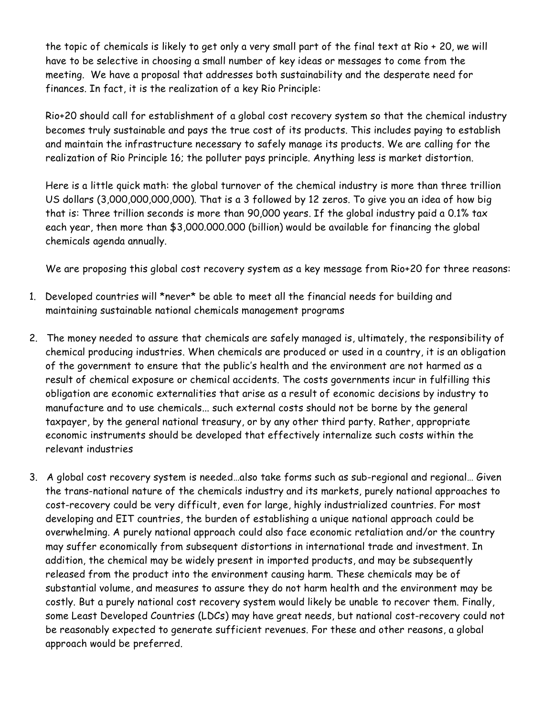the topic of chemicals is likely to get only a very small part of the final text at Rio + 20, we will have to be selective in choosing a small number of key ideas or messages to come from the meeting. We have a proposal that addresses both sustainability and the desperate need for finances. In fact, it is the realization of a key Rio Principle:

Rio+20 should call for establishment of a global cost recovery system so that the chemical industry becomes truly sustainable and pays the true cost of its products. This includes paying to establish and maintain the infrastructure necessary to safely manage its products. We are calling for the realization of Rio Principle 16; the polluter pays principle. Anything less is market distortion.

Here is a little quick math: the global turnover of the chemical industry is more than three trillion US dollars (3,000,000,000,000). That is a 3 followed by 12 zeros. To give you an idea of how big that is: Three trillion seconds is more than 90,000 years. If the global industry paid a 0.1% tax each year, then more than \$3,000.000.000 (billion) would be available for financing the global chemicals agenda annually.

We are proposing this global cost recovery system as a key message from Rio+20 for three reasons:

- 1. Developed countries will \*never\* be able to meet all the financial needs for building and maintaining sustainable national chemicals management programs
- 2. The money needed to assure that chemicals are safely managed is, ultimately, the responsibility of chemical producing industries. When chemicals are produced or used in a country, it is an obligation of the government to ensure that the public's health and the environment are not harmed as a result of chemical exposure or chemical accidents. The costs governments incur in fulfilling this obligation are economic externalities that arise as a result of economic decisions by industry to manufacture and to use chemicals... such external costs should not be borne by the general taxpayer, by the general national treasury, or by any other third party. Rather, appropriate economic instruments should be developed that effectively internalize such costs within the relevant industries
- 3. A global cost recovery system is needed…also take forms such as sub-regional and regional… Given the trans-national nature of the chemicals industry and its markets, purely national approaches to cost-recovery could be very difficult, even for large, highly industrialized countries. For most developing and EIT countries, the burden of establishing a unique national approach could be overwhelming. A purely national approach could also face economic retaliation and/or the country may suffer economically from subsequent distortions in international trade and investment. In addition, the chemical may be widely present in imported products, and may be subsequently released from the product into the environment causing harm. These chemicals may be of substantial volume, and measures to assure they do not harm health and the environment may be costly. But a purely national cost recovery system would likely be unable to recover them. Finally, some Least Developed Countries (LDCs) may have great needs, but national cost-recovery could not be reasonably expected to generate sufficient revenues. For these and other reasons, a global approach would be preferred.